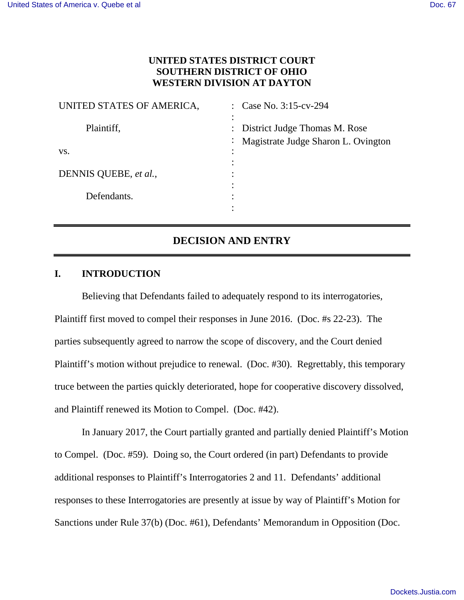# **UNITED STATES DISTRICT COURT SOUTHERN DISTRICT OF OHIO WESTERN DIVISION AT DAYTON**

| UNITED STATES OF AMERICA, | Case No. 3:15-cv-294<br>$\bullet$ . |
|---------------------------|-------------------------------------|
|                           |                                     |
| Plaintiff,                | : District Judge Thomas M. Rose     |
|                           | Magistrate Judge Sharon L. Ovington |
| VS.                       |                                     |
|                           |                                     |
| DENNIS QUEBE, et al.,     |                                     |
|                           | ٠                                   |
| Defendants.               | ٠                                   |
|                           |                                     |

# **DECISION AND ENTRY**

## **I. INTRODUCTION**

Believing that Defendants failed to adequately respond to its interrogatories, Plaintiff first moved to compel their responses in June 2016. (Doc. #s 22-23). The parties subsequently agreed to narrow the scope of discovery, and the Court denied Plaintiff's motion without prejudice to renewal. (Doc. #30). Regrettably, this temporary truce between the parties quickly deteriorated, hope for cooperative discovery dissolved, and Plaintiff renewed its Motion to Compel. (Doc. #42).

In January 2017, the Court partially granted and partially denied Plaintiff's Motion to Compel. (Doc. #59). Doing so, the Court ordered (in part) Defendants to provide additional responses to Plaintiff's Interrogatories 2 and 11. Defendants' additional responses to these Interrogatories are presently at issue by way of Plaintiff's Motion for Sanctions under Rule 37(b) (Doc. #61), Defendants' Memorandum in Opposition (Doc.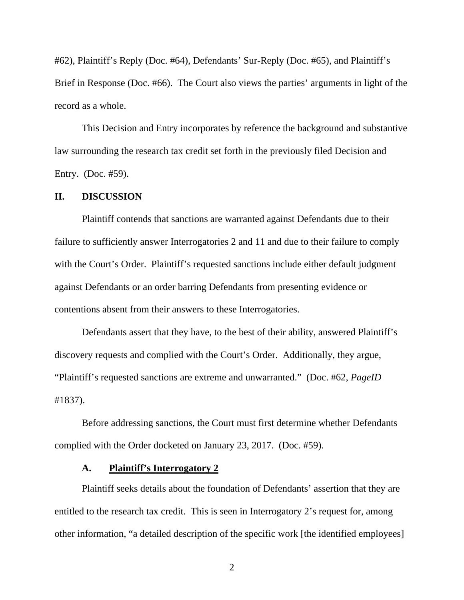#62), Plaintiff's Reply (Doc. #64), Defendants' Sur-Reply (Doc. #65), and Plaintiff's Brief in Response (Doc. #66). The Court also views the parties' arguments in light of the record as a whole.

This Decision and Entry incorporates by reference the background and substantive law surrounding the research tax credit set forth in the previously filed Decision and Entry. (Doc. #59).

## **II. DISCUSSION**

Plaintiff contends that sanctions are warranted against Defendants due to their failure to sufficiently answer Interrogatories 2 and 11 and due to their failure to comply with the Court's Order. Plaintiff's requested sanctions include either default judgment against Defendants or an order barring Defendants from presenting evidence or contentions absent from their answers to these Interrogatories.

Defendants assert that they have, to the best of their ability, answered Plaintiff's discovery requests and complied with the Court's Order. Additionally, they argue, "Plaintiff's requested sanctions are extreme and unwarranted." (Doc. #62, *PageID*  #1837).

 Before addressing sanctions, the Court must first determine whether Defendants complied with the Order docketed on January 23, 2017. (Doc. #59).

#### **A. Plaintiff's Interrogatory 2**

 Plaintiff seeks details about the foundation of Defendants' assertion that they are entitled to the research tax credit. This is seen in Interrogatory 2's request for, among other information, "a detailed description of the specific work [the identified employees]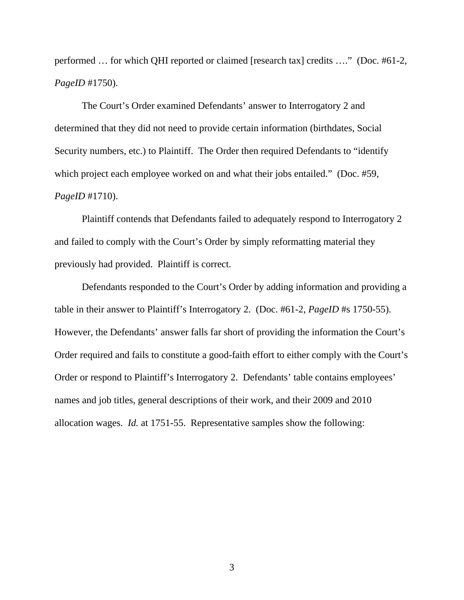performed … for which QHI reported or claimed [research tax] credits …." (Doc. #61-2, *PageID* #1750).

 The Court's Order examined Defendants' answer to Interrogatory 2 and determined that they did not need to provide certain information (birthdates, Social Security numbers, etc.) to Plaintiff. The Order then required Defendants to "identify which project each employee worked on and what their jobs entailed." (Doc. #59, *PageID* #1710).

Plaintiff contends that Defendants failed to adequately respond to Interrogatory 2 and failed to comply with the Court's Order by simply reformatting material they previously had provided. Plaintiff is correct.

Defendants responded to the Court's Order by adding information and providing a table in their answer to Plaintiff's Interrogatory 2. (Doc. #61-2, *PageID* #s 1750-55). However, the Defendants' answer falls far short of providing the information the Court's Order required and fails to constitute a good-faith effort to either comply with the Court's Order or respond to Plaintiff's Interrogatory 2. Defendants' table contains employees' names and job titles, general descriptions of their work, and their 2009 and 2010 allocation wages. *Id.* at 1751-55. Representative samples show the following: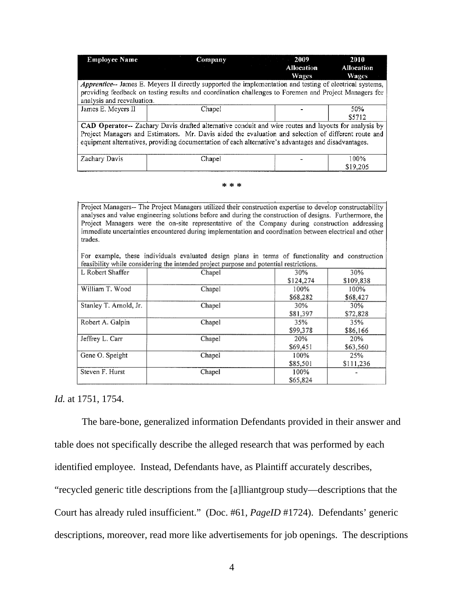| <b>Employee Name</b>                                                                                     | Company<br><b>Contract Contract</b> | 2009<br>Allocation<br><b>Wages</b> | 2010<br><b>Allocation</b><br>Wages |  |  |  |
|----------------------------------------------------------------------------------------------------------|-------------------------------------|------------------------------------|------------------------------------|--|--|--|
| Apprentice-- James E. Meyers II directly supported the implementation and testing of electrical systems, |                                     |                                    |                                    |  |  |  |
| providing feedback on testing results and coordination challenges to Foremen and Project Managers for    |                                     |                                    |                                    |  |  |  |
| analysis and reevaluation.                                                                               |                                     |                                    |                                    |  |  |  |
| James E. Meyers II                                                                                       | Chapel                              |                                    | 50%                                |  |  |  |
|                                                                                                          |                                     |                                    | \$5712                             |  |  |  |
| CAD Operator-- Zachary Davis drafted alternative conduit and wire routes and layouts for analysis by     |                                     |                                    |                                    |  |  |  |
| Project Managers and Estimators. Mr. Davis aided the evaluation and selection of different route and     |                                     |                                    |                                    |  |  |  |
| equipment alternatives, providing documentation of each alternative's advantages and disadvantages.      |                                     |                                    |                                    |  |  |  |
|                                                                                                          |                                     |                                    |                                    |  |  |  |
| Zachary Davis                                                                                            | Chapel                              |                                    | 100%                               |  |  |  |
|                                                                                                          |                                     |                                    | \$19.205                           |  |  |  |

#### **\* \* \***

Project Managers-- The Project Managers utilized their construction expertise to develop constructability analyses and value engineering solutions before and during the construction of designs. Furthermore, the Project Managers were the on-site representative of the Company during construction addressing immediate uncertainties encountered during implementation and coordination between electrical and other trades.

For example, these individuals evaluated design plans in terms of functionality and construction feasibility while considering the intended project purpose and potential restrictions.

| L Robert Shaffer       | Chapel | 30%       | 30%       |
|------------------------|--------|-----------|-----------|
|                        |        | \$124,274 | \$109,838 |
| William T. Wood        | Chapel | 100%      | 100%      |
|                        |        | \$68,282  | \$68,427  |
| Stanley T. Arnold, Jr. | Chapel | 30%       | 30%       |
|                        |        | \$81,397  | \$72,828  |
| Robert A. Galpin       | Chapel | 35%       | 35%       |
|                        |        | \$99,378  | \$86,166  |
| Jeffrey L. Carr        | Chapel | 20%       | 20%       |
|                        |        | \$69,451  | \$63,560  |
| Gene O. Speight        | Chapel | 100%      | 25%       |
|                        |        | \$85,501  | \$111,236 |
| Steven F. Hurst        | Chapel | 100%      |           |
|                        |        | \$65,824  |           |

#### *Id.* at 1751, 1754.

The bare-bone, generalized information Defendants provided in their answer and table does not specifically describe the alleged research that was performed by each identified employee. Instead, Defendants have, as Plaintiff accurately describes, "recycled generic title descriptions from the [a]lliantgroup study—descriptions that the Court has already ruled insufficient." (Doc. #61, *PageID* #1724). Defendants' generic descriptions, moreover, read more like advertisements for job openings. The descriptions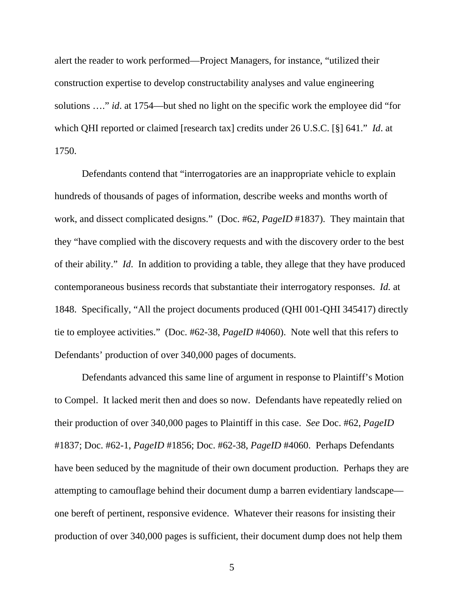alert the reader to work performed—Project Managers, for instance, "utilized their construction expertise to develop constructability analyses and value engineering solutions …." *id*. at 1754—but shed no light on the specific work the employee did "for which QHI reported or claimed [research tax] credits under 26 U.S.C. [§] 641." *Id*. at 1750.

Defendants contend that "interrogatories are an inappropriate vehicle to explain hundreds of thousands of pages of information, describe weeks and months worth of work, and dissect complicated designs." (Doc. #62, *PageID* #1837). They maintain that they "have complied with the discovery requests and with the discovery order to the best of their ability." *Id*. In addition to providing a table, they allege that they have produced contemporaneous business records that substantiate their interrogatory responses. *Id.* at 1848. Specifically, "All the project documents produced (QHI 001-QHI 345417) directly tie to employee activities." (Doc. #62-38, *PageID* #4060). Note well that this refers to Defendants' production of over 340,000 pages of documents.

Defendants advanced this same line of argument in response to Plaintiff's Motion to Compel. It lacked merit then and does so now. Defendants have repeatedly relied on their production of over 340,000 pages to Plaintiff in this case. *See* Doc. #62, *PageID*  #1837; Doc. #62-1, *PageID* #1856; Doc. #62-38, *PageID* #4060. Perhaps Defendants have been seduced by the magnitude of their own document production. Perhaps they are attempting to camouflage behind their document dump a barren evidentiary landscape one bereft of pertinent, responsive evidence. Whatever their reasons for insisting their production of over 340,000 pages is sufficient, their document dump does not help them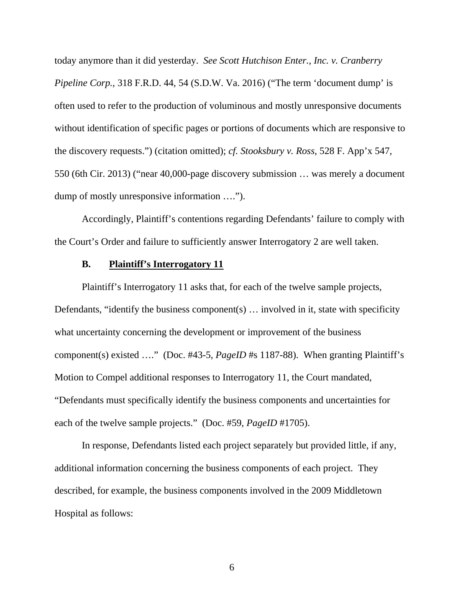today anymore than it did yesterday. *See Scott Hutchison Enter., Inc. v. Cranberry Pipeline Corp.*, 318 F.R.D. 44, 54 (S.D.W. Va. 2016) ("The term 'document dump' is often used to refer to the production of voluminous and mostly unresponsive documents without identification of specific pages or portions of documents which are responsive to the discovery requests.") (citation omitted); *cf. Stooksbury v. Ross*, 528 F. App'x 547, 550 (6th Cir. 2013) ("near 40,000-page discovery submission … was merely a document dump of mostly unresponsive information ….").

Accordingly, Plaintiff's contentions regarding Defendants' failure to comply with the Court's Order and failure to sufficiently answer Interrogatory 2 are well taken.

# **B. Plaintiff's Interrogatory 11**

Plaintiff's Interrogatory 11 asks that, for each of the twelve sample projects, Defendants, "identify the business component(s) … involved in it, state with specificity what uncertainty concerning the development or improvement of the business component(s) existed …." (Doc. #43-5, *PageID* #s 1187-88). When granting Plaintiff's Motion to Compel additional responses to Interrogatory 11, the Court mandated, "Defendants must specifically identify the business components and uncertainties for each of the twelve sample projects." (Doc. #59, *PageID* #1705).

In response, Defendants listed each project separately but provided little, if any, additional information concerning the business components of each project. They described, for example, the business components involved in the 2009 Middletown Hospital as follows: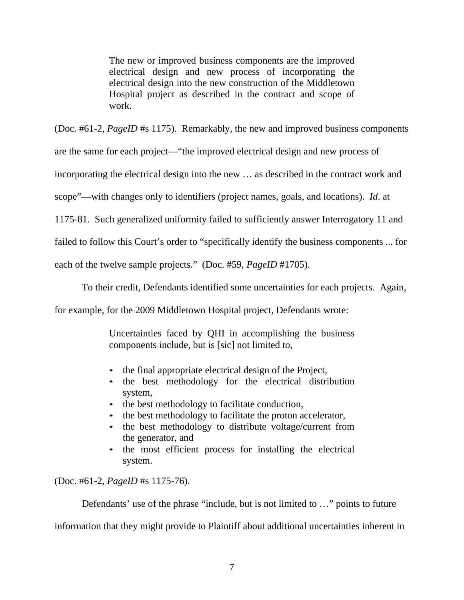The new or improved business components are the improved electrical design and new process of incorporating the electrical design into the new construction of the Middletown Hospital project as described in the contract and scope of work.

(Doc. #61-2, *PageID* #s 1175). Remarkably, the new and improved business components

are the same for each project—"the improved electrical design and new process of

incorporating the electrical design into the new … as described in the contract work and

scope"—with changes only to identifiers (project names, goals, and locations). *Id*. at

1175-81. Such generalized uniformity failed to sufficiently answer Interrogatory 11 and

failed to follow this Court's order to "specifically identify the business components ... for

each of the twelve sample projects." (Doc. #59, *PageID* #1705).

To their credit, Defendants identified some uncertainties for each projects. Again,

for example, for the 2009 Middletown Hospital project, Defendants wrote:

Uncertainties faced by QHI in accomplishing the business components include, but is [sic] not limited to,

- the final appropriate electrical design of the Project,
- the best methodology for the electrical distribution system,
- the best methodology to facilitate conduction,
- the best methodology to facilitate the proton accelerator,
- the best methodology to distribute voltage/current from the generator, and
- the most efficient process for installing the electrical system.

(Doc. #61-2, *PageID* #s 1175-76).

Defendants' use of the phrase "include, but is not limited to ..." points to future

information that they might provide to Plaintiff about additional uncertainties inherent in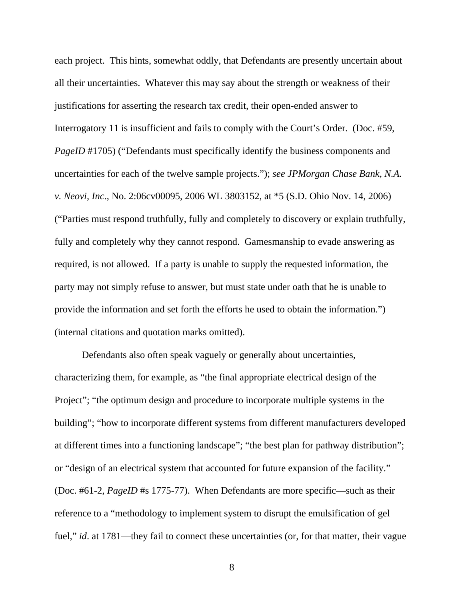each project. This hints, somewhat oddly, that Defendants are presently uncertain about all their uncertainties. Whatever this may say about the strength or weakness of their justifications for asserting the research tax credit, their open-ended answer to Interrogatory 11 is insufficient and fails to comply with the Court's Order. (Doc. #59, *PageID* #1705) ("Defendants must specifically identify the business components and uncertainties for each of the twelve sample projects."); *see JPMorgan Chase Bank, N.A. v. Neovi, Inc*., No. 2:06cv00095, 2006 WL 3803152, at \*5 (S.D. Ohio Nov. 14, 2006) ("Parties must respond truthfully, fully and completely to discovery or explain truthfully, fully and completely why they cannot respond. Gamesmanship to evade answering as required, is not allowed. If a party is unable to supply the requested information, the party may not simply refuse to answer, but must state under oath that he is unable to provide the information and set forth the efforts he used to obtain the information.") (internal citations and quotation marks omitted).

 Defendants also often speak vaguely or generally about uncertainties, characterizing them, for example, as "the final appropriate electrical design of the Project"; "the optimum design and procedure to incorporate multiple systems in the building"; "how to incorporate different systems from different manufacturers developed at different times into a functioning landscape"; "the best plan for pathway distribution"; or "design of an electrical system that accounted for future expansion of the facility." (Doc. #61-2, *PageID* #s 1775-77). When Defendants are more specific—such as their reference to a "methodology to implement system to disrupt the emulsification of gel fuel," *id.* at 1781—they fail to connect these uncertainties (or, for that matter, their vague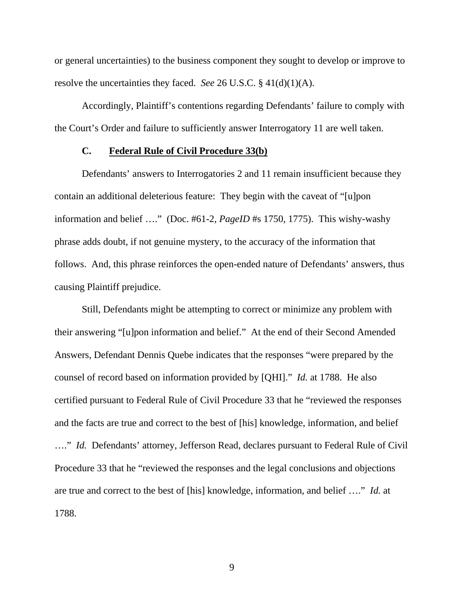or general uncertainties) to the business component they sought to develop or improve to resolve the uncertainties they faced. *See* 26 U.S.C. § 41(d)(1)(A).

Accordingly, Plaintiff's contentions regarding Defendants' failure to comply with the Court's Order and failure to sufficiently answer Interrogatory 11 are well taken.

## **C. Federal Rule of Civil Procedure 33(b)**

Defendants' answers to Interrogatories 2 and 11 remain insufficient because they contain an additional deleterious feature: They begin with the caveat of "[u]pon information and belief …." (Doc. #61-2, *PageID* #s 1750, 1775). This wishy-washy phrase adds doubt, if not genuine mystery, to the accuracy of the information that follows. And, this phrase reinforces the open-ended nature of Defendants' answers, thus causing Plaintiff prejudice.

Still, Defendants might be attempting to correct or minimize any problem with their answering "[u]pon information and belief." At the end of their Second Amended Answers, Defendant Dennis Quebe indicates that the responses "were prepared by the counsel of record based on information provided by [QHI]." *Id.* at 1788. He also certified pursuant to Federal Rule of Civil Procedure 33 that he "reviewed the responses and the facts are true and correct to the best of [his] knowledge, information, and belief …." *Id.* Defendants' attorney, Jefferson Read, declares pursuant to Federal Rule of Civil Procedure 33 that he "reviewed the responses and the legal conclusions and objections are true and correct to the best of [his] knowledge, information, and belief …." *Id.* at 1788.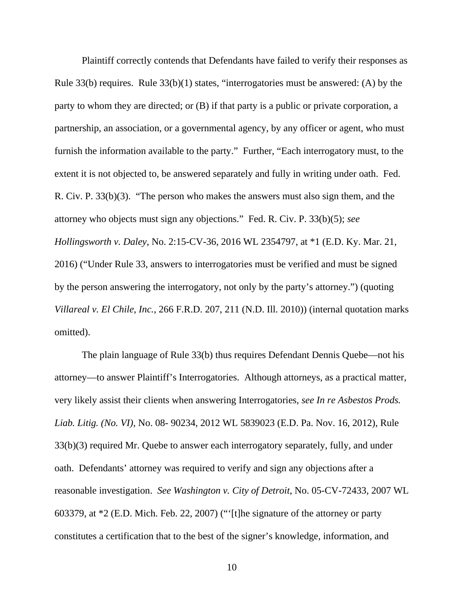Plaintiff correctly contends that Defendants have failed to verify their responses as Rule 33(b) requires. Rule 33(b)(1) states, "interrogatories must be answered: (A) by the party to whom they are directed; or (B) if that party is a public or private corporation, a partnership, an association, or a governmental agency, by any officer or agent, who must furnish the information available to the party." Further, "Each interrogatory must, to the extent it is not objected to, be answered separately and fully in writing under oath. Fed. R. Civ. P. 33(b)(3). "The person who makes the answers must also sign them, and the attorney who objects must sign any objections." Fed. R. Civ. P. 33(b)(5); *see Hollingsworth v. Daley*, No. 2:15-CV-36, 2016 WL 2354797, at \*1 (E.D. Ky. Mar. 21, 2016) ("Under Rule 33, answers to interrogatories must be verified and must be signed by the person answering the interrogatory, not only by the party's attorney.") (quoting *Villareal v. El Chile, Inc.,* 266 F.R.D. 207, 211 (N.D. Ill. 2010)) (internal quotation marks omitted).

The plain language of Rule 33(b) thus requires Defendant Dennis Quebe—not his attorney—to answer Plaintiff's Interrogatories. Although attorneys, as a practical matter, very likely assist their clients when answering Interrogatories, *see In re Asbestos Prods. Liab. Litig. (No. VI),* No. 08- 90234, 2012 WL 5839023 (E.D. Pa. Nov. 16, 2012), Rule 33(b)(3) required Mr. Quebe to answer each interrogatory separately, fully, and under oath. Defendants' attorney was required to verify and sign any objections after a reasonable investigation. *See Washington v. City of Detroit*, No. 05-CV-72433, 2007 WL 603379, at \*2 (E.D. Mich. Feb. 22, 2007) ("'[t]he signature of the attorney or party constitutes a certification that to the best of the signer's knowledge, information, and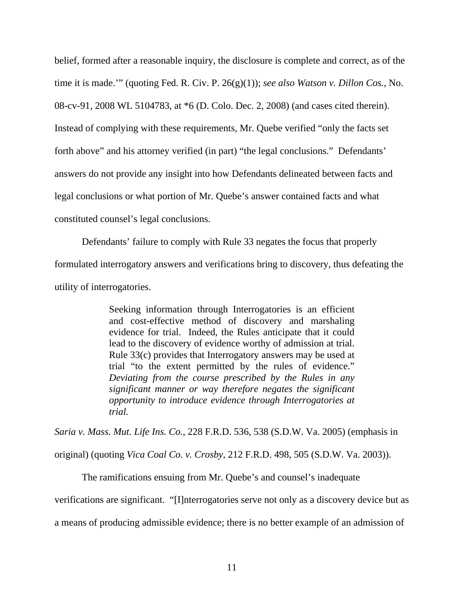belief, formed after a reasonable inquiry, the disclosure is complete and correct, as of the time it is made.'" (quoting Fed. R. Civ. P. 26(g)(1)); *see also Watson v. Dillon Cos.,* No. 08-cv-91, 2008 WL 5104783, at \*6 (D. Colo. Dec. 2, 2008) (and cases cited therein). Instead of complying with these requirements, Mr. Quebe verified "only the facts set forth above" and his attorney verified (in part) "the legal conclusions." Defendants' answers do not provide any insight into how Defendants delineated between facts and legal conclusions or what portion of Mr. Quebe's answer contained facts and what constituted counsel's legal conclusions.

Defendants' failure to comply with Rule 33 negates the focus that properly formulated interrogatory answers and verifications bring to discovery, thus defeating the utility of interrogatories.

> Seeking information through Interrogatories is an efficient and cost-effective method of discovery and marshaling evidence for trial. Indeed, the Rules anticipate that it could lead to the discovery of evidence worthy of admission at trial. Rule 33(c) provides that Interrogatory answers may be used at trial "to the extent permitted by the rules of evidence." *Deviating from the course prescribed by the Rules in any significant manner or way therefore negates the significant opportunity to introduce evidence through Interrogatories at trial.*

*Saria v. Mass. Mut. Life Ins. Co.,* 228 F.R.D. 536, 538 (S.D.W. Va. 2005) (emphasis in original) (quoting *Vica Coal Co. v. Crosby,* 212 F.R.D. 498, 505 (S.D.W. Va. 2003)).

The ramifications ensuing from Mr. Quebe's and counsel's inadequate

verifications are significant. "[I]nterrogatories serve not only as a discovery device but as

a means of producing admissible evidence; there is no better example of an admission of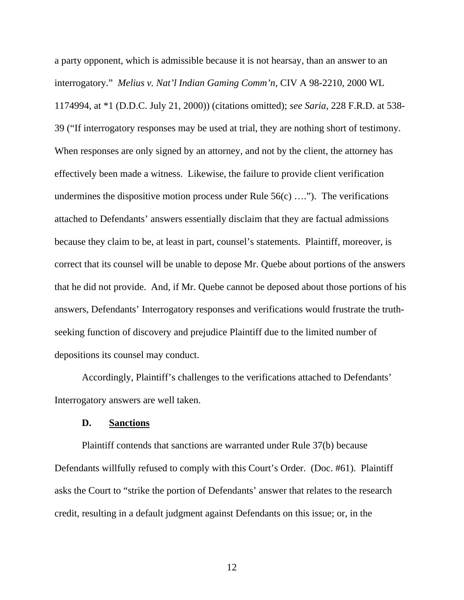a party opponent, which is admissible because it is not hearsay, than an answer to an interrogatory." *Melius v. Nat'l Indian Gaming Comm'n*, CIV A 98-2210, 2000 WL 1174994, at \*1 (D.D.C. July 21, 2000)) (citations omitted); *see Saria,* 228 F.R.D. at 538- 39 ("If interrogatory responses may be used at trial, they are nothing short of testimony. When responses are only signed by an attorney, and not by the client, the attorney has effectively been made a witness. Likewise, the failure to provide client verification undermines the dispositive motion process under Rule  $56(c)$  ...."). The verifications attached to Defendants' answers essentially disclaim that they are factual admissions because they claim to be, at least in part, counsel's statements. Plaintiff, moreover, is correct that its counsel will be unable to depose Mr. Quebe about portions of the answers that he did not provide. And, if Mr. Quebe cannot be deposed about those portions of his answers, Defendants' Interrogatory responses and verifications would frustrate the truthseeking function of discovery and prejudice Plaintiff due to the limited number of depositions its counsel may conduct.

Accordingly, Plaintiff's challenges to the verifications attached to Defendants' Interrogatory answers are well taken.

#### **D. Sanctions**

Plaintiff contends that sanctions are warranted under Rule 37(b) because Defendants willfully refused to comply with this Court's Order. (Doc. #61). Plaintiff asks the Court to "strike the portion of Defendants' answer that relates to the research credit, resulting in a default judgment against Defendants on this issue; or, in the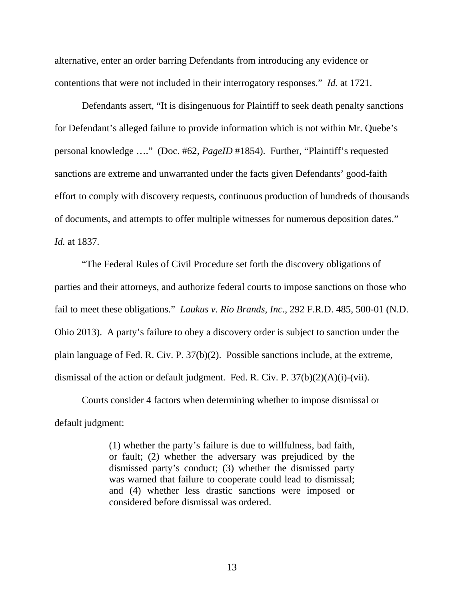alternative, enter an order barring Defendants from introducing any evidence or contentions that were not included in their interrogatory responses." *Id.* at 1721.

Defendants assert, "It is disingenuous for Plaintiff to seek death penalty sanctions for Defendant's alleged failure to provide information which is not within Mr. Quebe's personal knowledge …." (Doc. #62, *PageID* #1854). Further, "Plaintiff's requested sanctions are extreme and unwarranted under the facts given Defendants' good-faith effort to comply with discovery requests, continuous production of hundreds of thousands of documents, and attempts to offer multiple witnesses for numerous deposition dates." *Id.* at 1837.

 "The Federal Rules of Civil Procedure set forth the discovery obligations of parties and their attorneys, and authorize federal courts to impose sanctions on those who fail to meet these obligations." *Laukus v. Rio Brands, Inc*., 292 F.R.D. 485, 500-01 (N.D. Ohio 2013). A party's failure to obey a discovery order is subject to sanction under the plain language of Fed. R. Civ. P. 37(b)(2). Possible sanctions include, at the extreme, dismissal of the action or default judgment. Fed. R. Civ. P. 37(b)(2)(A)(i)-(vii).

 Courts consider 4 factors when determining whether to impose dismissal or default judgment:

> (1) whether the party's failure is due to willfulness, bad faith, or fault; (2) whether the adversary was prejudiced by the dismissed party's conduct; (3) whether the dismissed party was warned that failure to cooperate could lead to dismissal; and (4) whether less drastic sanctions were imposed or considered before dismissal was ordered.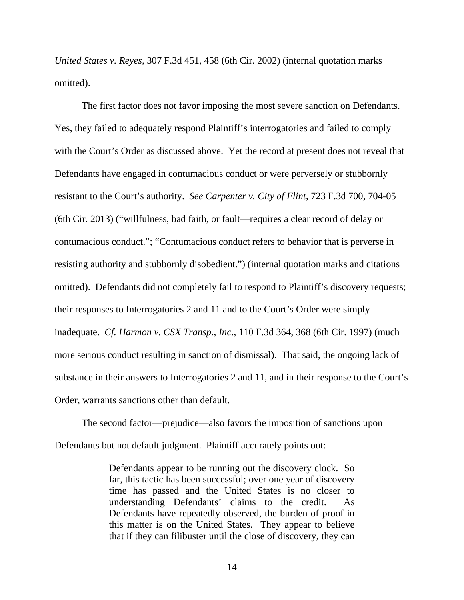*United States v. Reyes*, 307 F.3d 451, 458 (6th Cir. 2002) (internal quotation marks omitted).

 The first factor does not favor imposing the most severe sanction on Defendants. Yes, they failed to adequately respond Plaintiff's interrogatories and failed to comply with the Court's Order as discussed above. Yet the record at present does not reveal that Defendants have engaged in contumacious conduct or were perversely or stubbornly resistant to the Court's authority. *See Carpenter v. City of Flint,* 723 F.3d 700, 704-05 (6th Cir. 2013) ("willfulness, bad faith, or fault—requires a clear record of delay or contumacious conduct."; "Contumacious conduct refers to behavior that is perverse in resisting authority and stubbornly disobedient.") (internal quotation marks and citations omitted). Defendants did not completely fail to respond to Plaintiff's discovery requests; their responses to Interrogatories 2 and 11 and to the Court's Order were simply inadequate. *Cf. Harmon v. CSX Transp., Inc*., 110 F.3d 364, 368 (6th Cir. 1997) (much more serious conduct resulting in sanction of dismissal). That said, the ongoing lack of substance in their answers to Interrogatories 2 and 11, and in their response to the Court's Order, warrants sanctions other than default.

The second factor—prejudice—also favors the imposition of sanctions upon Defendants but not default judgment. Plaintiff accurately points out:

> Defendants appear to be running out the discovery clock. So far, this tactic has been successful; over one year of discovery time has passed and the United States is no closer to understanding Defendants' claims to the credit. As Defendants have repeatedly observed, the burden of proof in this matter is on the United States. They appear to believe that if they can filibuster until the close of discovery, they can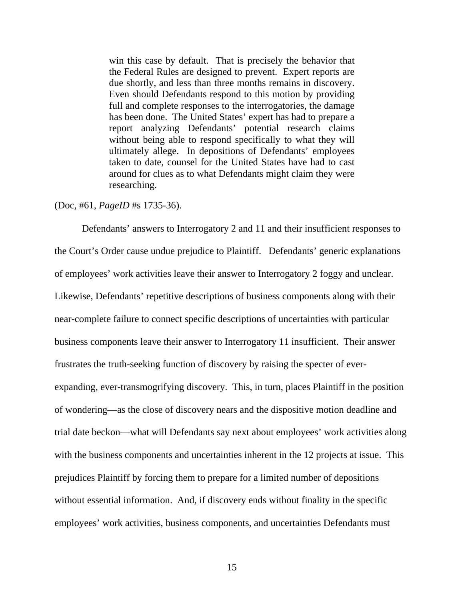win this case by default. That is precisely the behavior that the Federal Rules are designed to prevent. Expert reports are due shortly, and less than three months remains in discovery. Even should Defendants respond to this motion by providing full and complete responses to the interrogatories, the damage has been done. The United States' expert has had to prepare a report analyzing Defendants' potential research claims without being able to respond specifically to what they will ultimately allege. In depositions of Defendants' employees taken to date, counsel for the United States have had to cast around for clues as to what Defendants might claim they were researching.

#### (Doc, #61, *PageID* #s 1735-36).

 Defendants' answers to Interrogatory 2 and 11 and their insufficient responses to the Court's Order cause undue prejudice to Plaintiff. Defendants' generic explanations of employees' work activities leave their answer to Interrogatory 2 foggy and unclear. Likewise, Defendants' repetitive descriptions of business components along with their near-complete failure to connect specific descriptions of uncertainties with particular business components leave their answer to Interrogatory 11 insufficient. Their answer frustrates the truth-seeking function of discovery by raising the specter of everexpanding, ever-transmogrifying discovery. This, in turn, places Plaintiff in the position of wondering—as the close of discovery nears and the dispositive motion deadline and trial date beckon—what will Defendants say next about employees' work activities along with the business components and uncertainties inherent in the 12 projects at issue. This prejudices Plaintiff by forcing them to prepare for a limited number of depositions without essential information. And, if discovery ends without finality in the specific employees' work activities, business components, and uncertainties Defendants must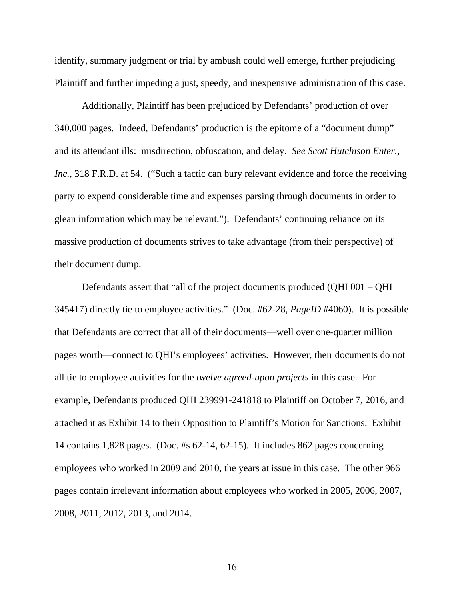identify, summary judgment or trial by ambush could well emerge, further prejudicing Plaintiff and further impeding a just, speedy, and inexpensive administration of this case.

 Additionally, Plaintiff has been prejudiced by Defendants' production of over 340,000 pages. Indeed, Defendants' production is the epitome of a "document dump" and its attendant ills: misdirection, obfuscation, and delay. *See Scott Hutchison Enter., Inc.*, 318 F.R.D. at 54. ("Such a tactic can bury relevant evidence and force the receiving party to expend considerable time and expenses parsing through documents in order to glean information which may be relevant."). Defendants' continuing reliance on its massive production of documents strives to take advantage (from their perspective) of their document dump.

Defendants assert that "all of the project documents produced (QHI 001 – QHI 345417) directly tie to employee activities." (Doc. #62-28, *PageID* #4060). It is possible that Defendants are correct that all of their documents—well over one-quarter million pages worth—connect to QHI's employees' activities. However, their documents do not all tie to employee activities for the *twelve agreed-upon projects* in this case. For example, Defendants produced QHI 239991-241818 to Plaintiff on October 7, 2016, and attached it as Exhibit 14 to their Opposition to Plaintiff's Motion for Sanctions. Exhibit 14 contains 1,828 pages. (Doc. #s 62-14, 62-15). It includes 862 pages concerning employees who worked in 2009 and 2010, the years at issue in this case. The other 966 pages contain irrelevant information about employees who worked in 2005, 2006, 2007, 2008, 2011, 2012, 2013, and 2014.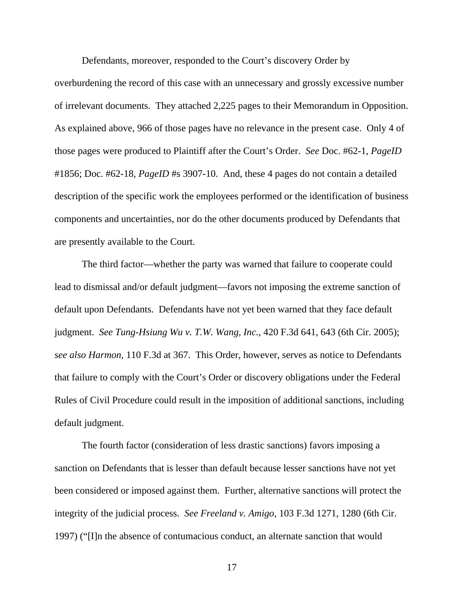Defendants, moreover, responded to the Court's discovery Order by

overburdening the record of this case with an unnecessary and grossly excessive number of irrelevant documents. They attached 2,225 pages to their Memorandum in Opposition. As explained above, 966 of those pages have no relevance in the present case. Only 4 of those pages were produced to Plaintiff after the Court's Order. *See* Doc. #62-1, *PageID*  #1856; Doc. #62-18, *PageID* #s 3907-10. And, these 4 pages do not contain a detailed description of the specific work the employees performed or the identification of business components and uncertainties, nor do the other documents produced by Defendants that are presently available to the Court.

The third factor—whether the party was warned that failure to cooperate could lead to dismissal and/or default judgment—favors not imposing the extreme sanction of default upon Defendants. Defendants have not yet been warned that they face default judgment. *See Tung-Hsiung Wu v. T.W. Wang, Inc.,* 420 F.3d 641, 643 (6th Cir. 2005); *see also Harmon,* 110 F.3d at 367. This Order, however, serves as notice to Defendants that failure to comply with the Court's Order or discovery obligations under the Federal Rules of Civil Procedure could result in the imposition of additional sanctions, including default judgment.

The fourth factor (consideration of less drastic sanctions) favors imposing a sanction on Defendants that is lesser than default because lesser sanctions have not yet been considered or imposed against them. Further, alternative sanctions will protect the integrity of the judicial process. *See Freeland v. Amigo*, 103 F.3d 1271, 1280 (6th Cir. 1997) ("[I]n the absence of contumacious conduct, an alternate sanction that would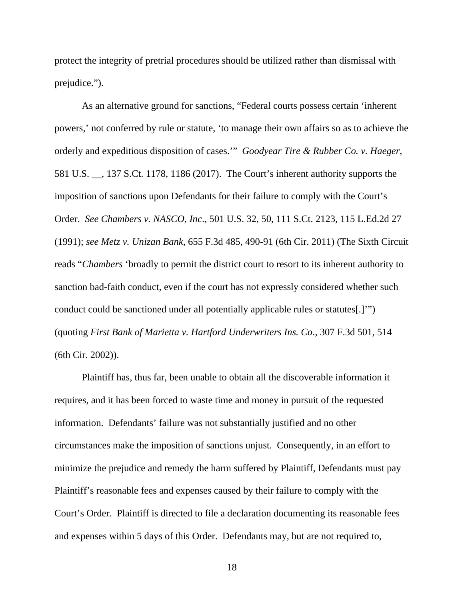protect the integrity of pretrial procedures should be utilized rather than dismissal with prejudice.").

 As an alternative ground for sanctions, "Federal courts possess certain 'inherent powers,' not conferred by rule or statute, 'to manage their own affairs so as to achieve the orderly and expeditious disposition of cases.'" *Goodyear Tire & Rubber Co. v. Haeger*, 581 U.S. \_\_, 137 S.Ct. 1178, 1186 (2017). The Court's inherent authority supports the imposition of sanctions upon Defendants for their failure to comply with the Court's Order. *See Chambers v. NASCO, Inc*., 501 U.S. 32, 50, 111 S.Ct. 2123, 115 L.Ed.2d 27 (1991); *see Metz v. Unizan Bank*, 655 F.3d 485, 490-91 (6th Cir. 2011) (The Sixth Circuit reads "*Chambers* 'broadly to permit the district court to resort to its inherent authority to sanction bad-faith conduct, even if the court has not expressly considered whether such conduct could be sanctioned under all potentially applicable rules or statutes[.]'") (quoting *First Bank of Marietta v. Hartford Underwriters Ins. Co*., 307 F.3d 501, 514 (6th Cir. 2002)).

Plaintiff has, thus far, been unable to obtain all the discoverable information it requires, and it has been forced to waste time and money in pursuit of the requested information. Defendants' failure was not substantially justified and no other circumstances make the imposition of sanctions unjust. Consequently, in an effort to minimize the prejudice and remedy the harm suffered by Plaintiff, Defendants must pay Plaintiff's reasonable fees and expenses caused by their failure to comply with the Court's Order. Plaintiff is directed to file a declaration documenting its reasonable fees and expenses within 5 days of this Order. Defendants may, but are not required to,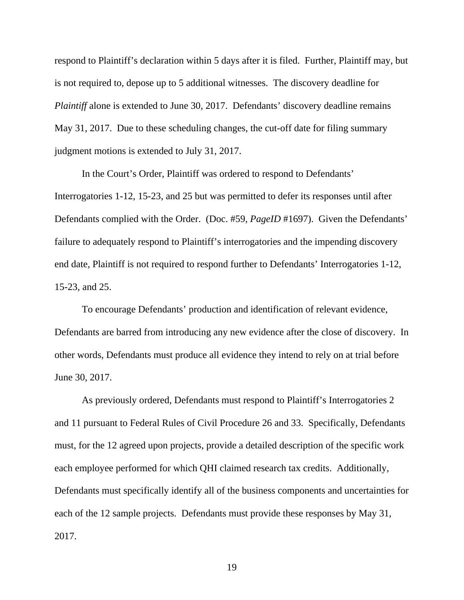respond to Plaintiff's declaration within 5 days after it is filed. Further, Plaintiff may, but is not required to, depose up to 5 additional witnesses. The discovery deadline for *Plaintiff* alone is extended to June 30, 2017. Defendants' discovery deadline remains May 31, 2017. Due to these scheduling changes, the cut-off date for filing summary judgment motions is extended to July 31, 2017.

In the Court's Order, Plaintiff was ordered to respond to Defendants' Interrogatories 1-12, 15-23, and 25 but was permitted to defer its responses until after Defendants complied with the Order. (Doc. #59, *PageID* #1697). Given the Defendants' failure to adequately respond to Plaintiff's interrogatories and the impending discovery end date, Plaintiff is not required to respond further to Defendants' Interrogatories 1-12, 15-23, and 25.

To encourage Defendants' production and identification of relevant evidence, Defendants are barred from introducing any new evidence after the close of discovery. In other words, Defendants must produce all evidence they intend to rely on at trial before June 30, 2017.

As previously ordered, Defendants must respond to Plaintiff's Interrogatories 2 and 11 pursuant to Federal Rules of Civil Procedure 26 and 33. Specifically, Defendants must, for the 12 agreed upon projects, provide a detailed description of the specific work each employee performed for which QHI claimed research tax credits. Additionally, Defendants must specifically identify all of the business components and uncertainties for each of the 12 sample projects. Defendants must provide these responses by May 31, 2017.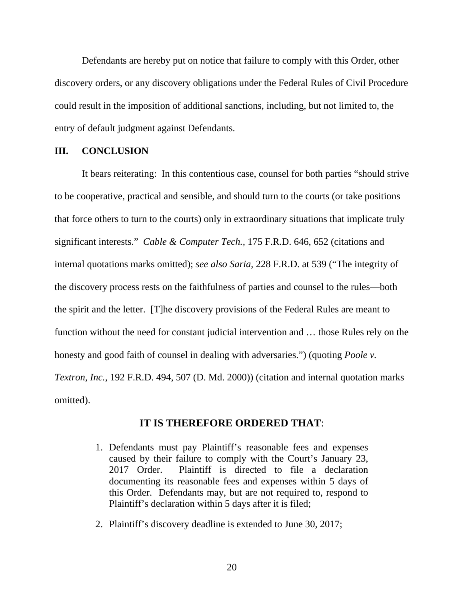Defendants are hereby put on notice that failure to comply with this Order, other discovery orders, or any discovery obligations under the Federal Rules of Civil Procedure could result in the imposition of additional sanctions, including, but not limited to, the entry of default judgment against Defendants.

# **III. CONCLUSION**

It bears reiterating: In this contentious case, counsel for both parties "should strive to be cooperative, practical and sensible, and should turn to the courts (or take positions that force others to turn to the courts) only in extraordinary situations that implicate truly significant interests." *Cable & Computer Tech.,* 175 F.R.D. 646, 652 (citations and internal quotations marks omitted); *see also Saria*, 228 F.R.D. at 539 ("The integrity of the discovery process rests on the faithfulness of parties and counsel to the rules—both the spirit and the letter. [T]he discovery provisions of the Federal Rules are meant to function without the need for constant judicial intervention and … those Rules rely on the honesty and good faith of counsel in dealing with adversaries.") (quoting *Poole v. Textron, Inc.,* 192 F.R.D. 494, 507 (D. Md. 2000)) (citation and internal quotation marks omitted).

#### **IT IS THEREFORE ORDERED THAT**:

- 1. Defendants must pay Plaintiff's reasonable fees and expenses caused by their failure to comply with the Court's January 23, 2017 Order. Plaintiff is directed to file a declaration documenting its reasonable fees and expenses within 5 days of this Order. Defendants may, but are not required to, respond to Plaintiff's declaration within 5 days after it is filed;
- 2. Plaintiff's discovery deadline is extended to June 30, 2017;